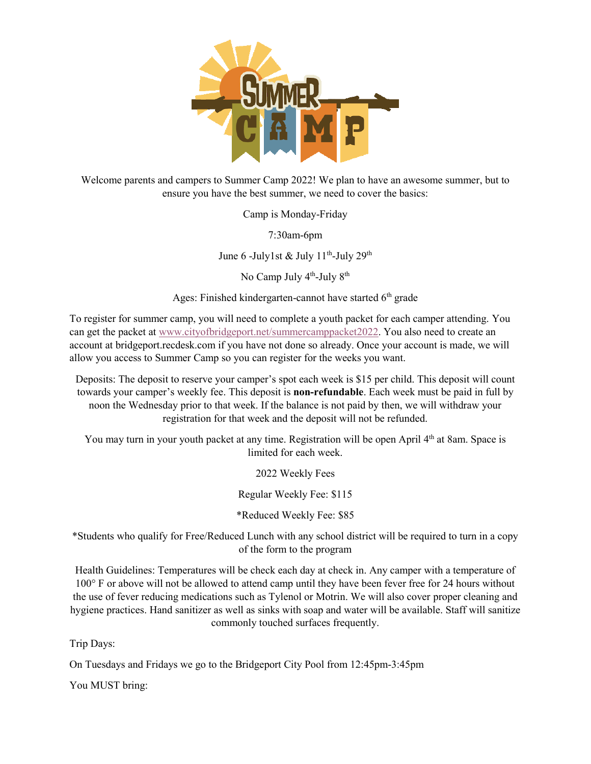

Welcome parents and campers to Summer Camp 2022! We plan to have an awesome summer, but to ensure you have the best summer, we need to cover the basics:

Camp is Monday-Friday

7:30am-6pm

June 6 -July1st & July 11<sup>th</sup>-July 29<sup>th</sup>

No Camp July 4<sup>th</sup>-July 8<sup>th</sup>

Ages: Finished kindergarten-cannot have started 6<sup>th</sup> grade

To register for summer camp, you will need to complete a youth packet for each camper attending. You can get the packet at [www.cityofbridgeport.net/summercamppacket2022.](http://www.cityofbridgeport.net/summercamppacket2022) You also need to create an account at bridgeport.recdesk.com if you have not done so already. Once your account is made, we will allow you access to Summer Camp so you can register for the weeks you want.

Deposits: The deposit to reserve your camper's spot each week is \$15 per child. This deposit will count towards your camper's weekly fee. This deposit is **non-refundable**. Each week must be paid in full by noon the Wednesday prior to that week. If the balance is not paid by then, we will withdraw your registration for that week and the deposit will not be refunded.

You may turn in your youth packet at any time. Registration will be open April 4<sup>th</sup> at 8am. Space is limited for each week.

2022 Weekly Fees

Regular Weekly Fee: \$115

\*Reduced Weekly Fee: \$85

\*Students who qualify for Free/Reduced Lunch with any school district will be required to turn in a copy of the form to the program

Health Guidelines: Temperatures will be check each day at check in. Any camper with a temperature of 100° F or above will not be allowed to attend camp until they have been fever free for 24 hours without the use of fever reducing medications such as Tylenol or Motrin. We will also cover proper cleaning and hygiene practices. Hand sanitizer as well as sinks with soap and water will be available. Staff will sanitize commonly touched surfaces frequently.

Trip Days:

On Tuesdays and Fridays we go to the Bridgeport City Pool from 12:45pm-3:45pm

You MUST bring: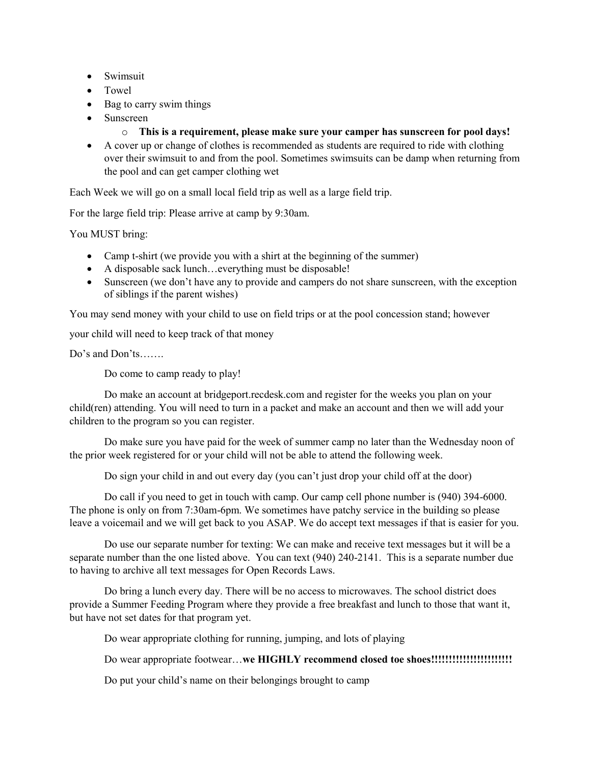- Swimsuit
- Towel
- Bag to carry swim things
- Sunscreen
	- o **This is a requirement, please make sure your camper has sunscreen for pool days!**
- A cover up or change of clothes is recommended as students are required to ride with clothing over their swimsuit to and from the pool. Sometimes swimsuits can be damp when returning from the pool and can get camper clothing wet

Each Week we will go on a small local field trip as well as a large field trip.

For the large field trip: Please arrive at camp by 9:30am.

You MUST bring:

- Camp t-shirt (we provide you with a shirt at the beginning of the summer)
- A disposable sack lunch…everything must be disposable!
- Sunscreen (we don't have any to provide and campers do not share sunscreen, with the exception of siblings if the parent wishes)

You may send money with your child to use on field trips or at the pool concession stand; however

your child will need to keep track of that money

Do's and Don'ts…….

Do come to camp ready to play!

Do make an account at bridgeport.recdesk.com and register for the weeks you plan on your child(ren) attending. You will need to turn in a packet and make an account and then we will add your children to the program so you can register.

Do make sure you have paid for the week of summer camp no later than the Wednesday noon of the prior week registered for or your child will not be able to attend the following week.

Do sign your child in and out every day (you can't just drop your child off at the door)

Do call if you need to get in touch with camp. Our camp cell phone number is (940) 394-6000. The phone is only on from 7:30am-6pm. We sometimes have patchy service in the building so please leave a voicemail and we will get back to you ASAP. We do accept text messages if that is easier for you.

Do use our separate number for texting: We can make and receive text messages but it will be a separate number than the one listed above. You can text (940) 240-2141. This is a separate number due to having to archive all text messages for Open Records Laws.

Do bring a lunch every day. There will be no access to microwaves. The school district does provide a Summer Feeding Program where they provide a free breakfast and lunch to those that want it, but have not set dates for that program yet.

Do wear appropriate clothing for running, jumping, and lots of playing

Do wear appropriate footwear…**we HIGHLY recommend closed toe shoes!!!!!!!!!!!!!!!!!!!!!!!**

Do put your child's name on their belongings brought to camp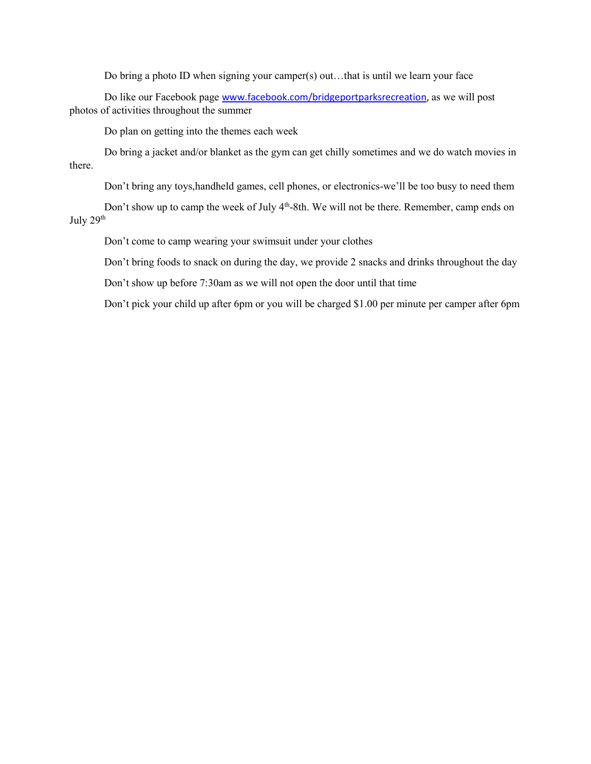Do bring a photo ID when signing your camper(s) out…that is until we learn your face

Do like our Facebook page [www.facebook.com/bridgeportparksrecreation,](http://www.facebook.com/bridgeportparksrecreation) as we will post photos of activities throughout the summer

Do plan on getting into the themes each week

Do bring a jacket and/or blanket as the gym can get chilly sometimes and we do watch movies in there.

Don't bring any toys,handheld games, cell phones, or electronics-we'll be too busy to need them

Don't show up to camp the week of July 4<sup>th</sup>-8th. We will not be there. Remember, camp ends on July 29<sup>th</sup>

Don't come to camp wearing your swimsuit under your clothes

Don't bring foods to snack on during the day, we provide 2 snacks and drinks throughout the day

Don't show up before 7:30am as we will not open the door until that time

Don't pick your child up after 6pm or you will be charged \$1.00 per minute per camper after 6pm